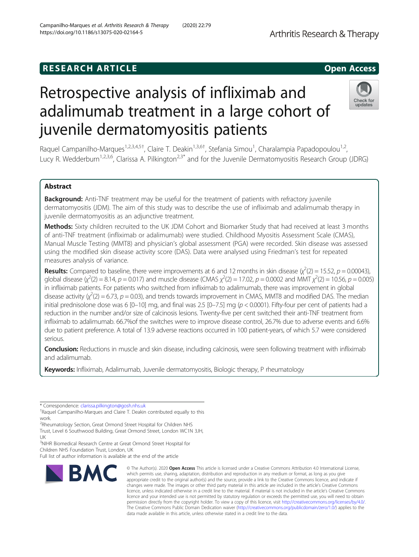# **RESEARCH ARTICLE Example 20 and 20 and 20 and 20 and 20 and 20 and 20 and 20 and 20 and 20 and 20 and 20 and 20 and 20 and 20 and 20 and 20 and 20 and 20 and 20 and 20 and 20 and 20 and 20 and 20 and 20 and 20 and 20 an**

# Retrospective analysis of infliximab and adalimumab treatment in a large cohort of juvenile dermatomyositis patients

Raquel Campanilho-Marques<sup>1,2,3,4,5†</sup>, Claire T. Deakin<sup>1,3,6†</sup>, Stefania Simou<sup>1</sup>, Charalampia Papadopoulou<sup>1,2</sup>, Lucy R. Wedderburn<sup>1,2,3,6</sup>, Clarissa A. Pilkington<sup>2,3\*</sup> and for the Juvenile Dermatomyositis Research Group (JDRG)

# Abstract

Background: Anti-TNF treatment may be useful for the treatment of patients with refractory juvenile dermatomyositis (JDM). The aim of this study was to describe the use of infliximab and adalimumab therapy in juvenile dermatomyositis as an adjunctive treatment.

Methods: Sixty children recruited to the UK JDM Cohort and Biomarker Study that had received at least 3 months of anti-TNF treatment (infliximab or adalimumab) were studied. Childhood Myositis Assessment Scale (CMAS), Manual Muscle Testing (MMT8) and physician's global assessment (PGA) were recorded. Skin disease was assessed using the modified skin disease activity score (DAS). Data were analysed using Friedman's test for repeated measures analysis of variance.

**Results:** Compared to baseline, there were improvements at 6 and 12 months in skin disease  $\chi^2(2) = 15.52$ ,  $p = 0.00043$ ), global disease  $(\chi^2(2)=8.14, p=0.017)$  and muscle disease (CMAS  $\chi^2(2)=17.02, p=0.0002$  and MMT  $\chi^2(2)=10.56, p=0.005)$ in infliximab patients. For patients who switched from infliximab to adalimumab, there was improvement in global disease activity  $(\chi^2(2) = 6.73, p = 0.03)$ , and trends towards improvement in CMAS, MMT8 and modified DAS. The median initial prednisolone dose was 6  $[0-10]$  mg, and final was 2.5  $[0-7.5]$  mg ( $p < 0.0001$ ). Fifty-four per cent of patients had a reduction in the number and/or size of calcinosis lesions. Twenty-five per cent switched their anti-TNF treatment from infliximab to adalimumab. 66.7%of the switches were to improve disease control, 26.7% due to adverse events and 6.6% due to patient preference. A total of 13.9 adverse reactions occurred in 100 patient-years, of which 5.7 were considered serious.

Conclusion: Reductions in muscle and skin disease, including calcinosis, were seen following treatment with infliximab and adalimumab.

Keywords: Infliximab, Adalimumab, Juvenile dermatomyositis, Biologic therapy, P rheumatology

**RMC** 

<sup>3</sup>NIHR Biomedical Research Centre at Great Ormond Street Hospital for Children NHS Foundation Trust, London, UK

Full list of author information is available at the end of the article

#### © The Author(s), 2020 **Open Access** This article is licensed under a Creative Commons Attribution 4.0 International License, which permits use, sharing, adaptation, distribution and reproduction in any medium or format, as long as you give appropriate credit to the original author(s) and the source, provide a link to the Creative Commons licence, and indicate if changes were made. The images or other third party material in this article are included in the article's Creative Commons licence, unless indicated otherwise in a credit line to the material. If material is not included in the article's Creative Commons licence and your intended use is not permitted by statutory regulation or exceeds the permitted use, you will need to obtain permission directly from the copyright holder. To view a copy of this licence, visit [http://creativecommons.org/licenses/by/4.0/.](http://creativecommons.org/licenses/by/4.0/) The Creative Commons Public Domain Dedication waiver [\(http://creativecommons.org/publicdomain/zero/1.0/](http://creativecommons.org/publicdomain/zero/1.0/)) applies to the data made available in this article, unless otherwise stated in a credit line to the data.





<sup>\*</sup> Correspondence: [clarissa.pilkington@gosh.nhs.uk](mailto:clarissa.pilkington@gosh.nhs.uk) †

Raquel Campanilho-Marques and Claire T. Deakin contributed equally to this work.

<sup>&</sup>lt;sup>2</sup>Rheumatology Section, Great Ormond Street Hospital for Children NHS Trust, Level 6 Southwood Building, Great Ormond Street, London WC1N 3JH, UK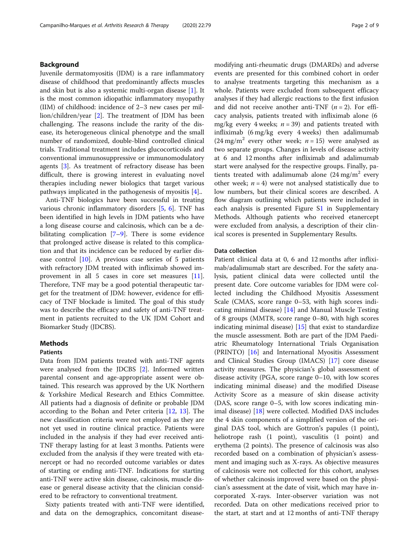# Background

Juvenile dermatomyositis (JDM) is a rare inflammatory disease of childhood that predominantly affects muscles and skin but is also a systemic multi-organ disease [[1\]](#page-7-0). It is the most common idiopathic inflammatory myopathy (IIM) of childhood: incidence of 2–3 new cases per million/children/year [\[2](#page-7-0)]. The treatment of JDM has been challenging. The reasons include the rarity of the disease, its heterogeneous clinical phenotype and the small number of randomized, double-blind controlled clinical trials. Traditional treatment includes glucocorticoids and conventional immunosuppressive or immunomodulatory agents [\[3\]](#page-7-0). As treatment of refractory disease has been difficult, there is growing interest in evaluating novel therapies including newer biologics that target various pathways implicated in the pathogenesis of myositis [\[4](#page-7-0)]..

Anti-TNF biologics have been successful in treating various chronic inflammatory disorders [[5](#page-7-0), [6\]](#page-7-0). TNF has been identified in high levels in JDM patients who have a long disease course and calcinosis, which can be a debilitating complication [\[7](#page-7-0)–[9\]](#page-7-0). There is some evidence that prolonged active disease is related to this complication and that its incidence can be reduced by earlier disease control [[10\]](#page-7-0). A previous case series of 5 patients with refractory JDM treated with infliximab showed improvement in all 5 cases in core set measures [\[11](#page-7-0)]. Therefore, TNF may be a good potential therapeutic target for the treatment of JDM: however, evidence for efficacy of TNF blockade is limited. The goal of this study was to describe the efficacy and safety of anti-TNF treatment in patients recruited to the UK JDM Cohort and Biomarker Study (JDCBS).

# **Methods**

#### **Patients**

Data from JDM patients treated with anti-TNF agents were analysed from the JDCBS [[2\]](#page-7-0). Informed written parental consent and age-appropriate assent were obtained. This research was approved by the UK Northern & Yorkshire Medical Research and Ethics Committee. All patients had a diagnosis of definite or probable JDM according to the Bohan and Peter criteria [\[12](#page-7-0), [13](#page-7-0)]. The new classification criteria were not employed as they are not yet used in routine clinical practice. Patients were included in the analysis if they had ever received anti-TNF therapy lasting for at least 3 months. Patients were excluded from the analysis if they were treated with etanercept or had no recorded outcome variables or dates of starting or ending anti-TNF. Indications for starting anti-TNF were active skin disease, calcinosis, muscle disease or general disease activity that the clinician considered to be refractory to conventional treatment.

Sixty patients treated with anti-TNF were identified, and data on the demographics, concomitant diseasemodifying anti-rheumatic drugs (DMARDs) and adverse events are presented for this combined cohort in order to analyse treatments targeting this mechanism as a whole. Patients were excluded from subsequent efficacy analyses if they had allergic reactions to the first infusion and did not receive another anti-TNF  $(n = 2)$ . For efficacy analysis, patients treated with infliximab alone (6 mg/kg every 4 weeks;  $n = 39$ ) and patients treated with infliximab (6 mg/kg every 4 weeks) then adalimumab (24 mg/m<sup>2</sup> every other week;  $n = 15$ ) were analysed as two separate groups. Changes in levels of disease activity at 6 and 12 months after infliximab and adalimumab start were analysed for the respective groups. Finally, patients treated with adalimumab alone  $(24 \text{ mg/m}^2 \text{ every})$ other week;  $n = 4$ ) were not analysed statistically due to low numbers, but their clinical scores are described. A flow diagram outlining which patients were included in each analysis is presented Figure S[1](#page-6-0) in Supplementary Methods. Although patients who received etanercept were excluded from analysis, a description of their clinical scores is presented in Supplementary Results.

#### Data collection

Patient clinical data at 0, 6 and 12 months after infliximab/adalimumab start are described. For the safety analysis, patient clinical data were collected until the present date. Core outcome variables for JDM were collected including the Childhood Myositis Assessment Scale (CMAS, score range 0–53, with high scores indicating minimal disease) [\[14\]](#page-7-0) and Manual Muscle Testing of 8 groups (MMT8, score range 0–80, with high scores indicating minimal disease) [\[15](#page-7-0)] that exist to standardize the muscle assessment. Both are part of the JDM Paediatric Rheumatology International Trials Organisation (PRINTO) [[16](#page-7-0)] and International Myositis Assessment and Clinical Studies Group (IMACS) [\[17](#page-8-0)] core disease activity measures. The physician's global assessment of disease activity (PGA, score range 0–10, with low scores indicating minimal disease) and the modified Disease Activity Score as a measure of skin disease activity (DAS, score range 0–5, with low scores indicating minimal disease) [\[18](#page-8-0)] were collected. Modified DAS includes the 4 skin components of a simplified version of the original DAS tool, which are Gottron's papules (1 point), heliotrope rash (1 point), vasculitis (1 point) and erythema (2 points). The presence of calcinosis was also recorded based on a combination of physician's assessment and imaging such as X-rays. As objective measures of calcinosis were not collected for this cohort, analyses of whether calcinosis improved were based on the physician's assessment at the date of visit, which may have incorporated X-rays. Inter-observer variation was not recorded. Data on other medications received prior to the start, at start and at 12 months of anti-TNF therapy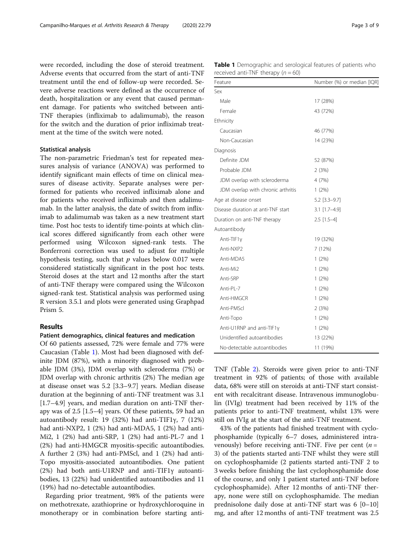were recorded, including the dose of steroid treatment. Adverse events that occurred from the start of anti-TNF treatment until the end of follow-up were recorded. Severe adverse reactions were defined as the occurrence of death, hospitalization or any event that caused permanent damage. For patients who switched between anti-TNF therapies (infliximab to adalimumab), the reason for the switch and the duration of prior infliximab treatment at the time of the switch were noted.

#### Statistical analysis

The non-parametric Friedman's test for repeated measures analysis of variance (ANOVA) was performed to identify significant main effects of time on clinical measures of disease activity. Separate analyses were performed for patients who received infliximab alone and for patients who received infliximab and then adalimumab. In the latter analysis, the date of switch from infliximab to adalimumab was taken as a new treatment start time. Post hoc tests to identify time-points at which clinical scores differed significantly from each other were performed using Wilcoxon signed-rank tests. The Bonferroni correction was used to adjust for multiple hypothesis testing, such that  $p$  values below 0.017 were considered statistically significant in the post hoc tests. Steroid doses at the start and 12 months after the start of anti-TNF therapy were compared using the Wilcoxon signed-rank test. Statistical analysis was performed using R version 3.5.1 and plots were generated using Graphpad Prism 5.

# Results

#### Patient demographics, clinical features and medication

Of 60 patients assessed, 72% were female and 77% were Caucasian (Table 1). Most had been diagnosed with definite JDM (87%), with a minority diagnosed with probable JDM (3%), JDM overlap with scleroderma (7%) or JDM overlap with chronic arthritis (2%) The median age at disease onset was 5.2 [3.3–9.7] years. Median disease duration at the beginning of anti-TNF treatment was 3.1 [1.7–4.9] years, and median duration on anti-TNF therapy was of 2.5 [1.5–4] years. Of these patients, 59 had an autoantibody result: 19 (32%) had anti-TIF1γ, 7 (12%) had anti-NXP2, 1 (2%) had anti-MDA5, 1 (2%) had anti-Mi2, 1 (2%) had anti-SRP, 1 (2%) had anti-PL-7 and 1 (2%) had anti-HMGCR myositis-specific autoantibodies. A further 2 (3%) had anti-PMScl, and 1 (2%) had anti-Topo myositis-associated autoantibodies. One patient (2%) had both anti-U1RNP and anti-TIF1γ autoantibodies, 13 (22%) had unidentified autoantibodies and 11 (19%) had no-detectable autoantibodies.

Regarding prior treatment, 98% of the patients were on methotrexate, azathioprine or hydroxychloroquine in monotherapy or in combination before starting anti-

| <b>Table 1</b> Demographic and serological features of patients who |  |  |
|---------------------------------------------------------------------|--|--|
| received anti-TNF therapy $(n = 60)$                                |  |  |

| Feature                            | Number (%) or median [IQR] |  |  |
|------------------------------------|----------------------------|--|--|
| Sex                                |                            |  |  |
| Male                               | 17 (28%)                   |  |  |
| Female                             | 43 (72%)                   |  |  |
| Ethnicity                          |                            |  |  |
| Caucasian                          | 46 (77%)                   |  |  |
| Non-Caucasian                      | 14 (23%)                   |  |  |
| Diagnosis                          |                            |  |  |
| Definite JDM                       | 52 (87%)                   |  |  |
| Probable JDM                       | 2(3%)                      |  |  |
| JDM overlap with scleroderma       | 4 (7%)                     |  |  |
| JDM overlap with chronic arthritis | $1(2\%)$                   |  |  |
| Age at disease onset               | $5.2$ [3.3-9.7]            |  |  |
| Disease duration at anti-TNF start | $3.1$ [1.7-4.9]            |  |  |
| Duration on anti-TNF therapy       | $2.5$ [1.5-4]              |  |  |
| Autoantibody                       |                            |  |  |
| Anti-TIF1y                         | 19 (32%)                   |  |  |
| Anti-NXP2                          | 7 (12%)                    |  |  |
| Anti-MDA5                          | 1(2%)                      |  |  |
| Anti-Mi2                           | 1(2%)                      |  |  |
| Anti-SRP                           | 1(2%)                      |  |  |
| Anti-PL-7                          | 1(2%)                      |  |  |
| Anti-HMGCR                         | 1(2%)                      |  |  |
| Anti-PMScl                         | 2(3%)                      |  |  |
| Anti-Topo                          | 1(2%)                      |  |  |
| Anti-U1RNP and anti-TIF1y          | 1(2%)                      |  |  |
| Unidentified autoantibodies        | 13 (22%)                   |  |  |
| No-detectable autoantibodies       | 11 (19%)                   |  |  |

TNF (Table [2](#page-3-0)). Steroids were given prior to anti-TNF treatment in 92% of patients; of those with available data, 68% were still on steroids at anti-TNF start consistent with recalcitrant disease. Intravenous immunoglobulin (IVIg) treatment had been received by 11% of the patients prior to anti-TNF treatment, whilst 13% were still on IVIg at the start of the anti-TNF treatment.

43% of the patients had finished treatment with cyclophosphamide (typically 6–7 doses, administered intravenously) before receiving anti-TNF. Five per cent ( $n =$ 3) of the patients started anti-TNF whilst they were still on cyclophosphamide (2 patients started anti-TNF 2 to 3 weeks before finishing the last cyclophosphamide dose of the course, and only 1 patient started anti-TNF before cyclophosphamide). After 12 months of anti-TNF therapy, none were still on cyclophosphamide. The median prednisolone daily dose at anti-TNF start was 6 [0–10] mg, and after 12 months of anti-TNF treatment was 2.5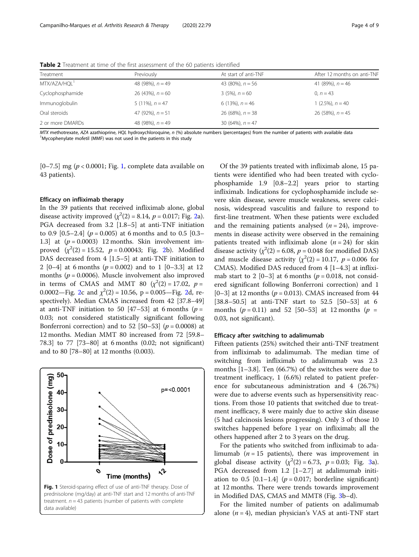| Treatment                | Previously           | At start of anti-TNF | After 12 months on anti-TNF |  |  |
|--------------------------|----------------------|----------------------|-----------------------------|--|--|
| MTX/AZA/HQL <sup>1</sup> | 48 (98%), $n = 49$   | 43 (80%), $n = 56$   | 41 (89%), $n = 46$          |  |  |
| Cyclophosphamide         | 26 (43%), $n = 60$   | $3(5\%)$ , $n = 60$  | 0. $n = 43$                 |  |  |
| Immunoglobulin           | $5(11\%)$ , $n = 47$ | $6(13\%)$ , $n = 46$ | 1 $(2.5\%)$ , $n = 40$      |  |  |
| Oral steroids            | 47 (92%), $n = 51$   | 26 (68%), $n = 38$   | 26 (58%), $n = 45$          |  |  |
| 2 or more DMARDs         | 48 (98%), $n = 49$   | 30 (64%), $n = 47$   |                             |  |  |

<span id="page-3-0"></span>Table 2 Treatment at time of the first assessment of the 60 patients identified

MTX methotrexate, AZA azathioprine, HOL hydroxychloroquine, n (%) absolute numbers (percentages) from the number of patients with available data <sup>1</sup>Mycophenylate mofetil (MMF) was not used in the patients in this study

[0–7.5] mg ( $p < 0.0001$ ; Fig. 1, complete data available on 43 patients).

### Efficacy on infliximab therapy

In the 39 patients that received infliximab alone, global disease activity improved  $(\chi^2(2) = 8.14, p = 0.017;$  Fig. [2a](#page-4-0)). PGA decreased from 3.2 [1.8–5] at anti-TNF initiation to 0.9  $[0.5-2.4]$  ( $p = 0.005$ ) at 6 months and to 0.5  $[0.3-$ 1.3] at  $(p = 0.0003)$  12 months. Skin involvement improved  $(\chi^2(2) = 15.52, p = 0.00043;$  $(\chi^2(2) = 15.52, p = 0.00043;$  $(\chi^2(2) = 15.52, p = 0.00043;$  Fig. 2b). Modified DAS decreased from 4 [1.5–5] at anti-TNF initiation to 2  $[0-4]$  at 6 months  $(p = 0.002)$  and to 1  $[0-3.3]$  at 12 months ( $p = 0.0006$ ). Muscle involvement also improved in terms of CMAS and MMT 80  $(\chi^2(2) = 17.02, p =$ 0.0002—Fig. [2c](#page-4-0) and  $\chi^2(2) = 10.56$ , p = 0.005—Fig. [2d](#page-4-0), respectively). Median CMAS increased from 42 [37.8–49] at anti-TNF initiation to 50 [47–53] at 6 months ( $p =$ 0.03; not considered statistically significant following Bonferroni correction) and to 52 [50–53] ( $p = 0.0008$ ) at 12 months. Median MMT 80 increased from 72 [59.8– 78.3] to 77 [73–80] at 6 months (0.02; not significant) and to 80 [78–80] at 12 months (0.003).



Of the 39 patients treated with infliximab alone, 15 patients were identified who had been treated with cyclophosphamide 1.9 [0.8–2.2] years prior to starting infliximab. Indications for cyclophosphamide include severe skin disease, severe muscle weakness, severe calcinosis, widespread vasculitis and failure to respond to first-line treatment. When these patients were excluded and the remaining patients analysed  $(n = 24)$ , improvements in disease activity were observed in the remaining patients treated with infliximab alone  $(n = 24)$  for skin disease activity ( $\chi^2(2) = 6.08$ ,  $p = 0.048$  for modified DAS) and muscle disease activity  $(\chi^2(2) = 10.17, p = 0.006$  for CMAS). Modified DAS reduced from 4 [1–4.3] at infliximab start to 2 [0–3] at 6 months ( $p = 0.018$ , not considered significant following Bonferroni correction) and 1 [0–3] at 12 months ( $p = 0.013$ ). CMAS increased from 44 [38.8–50.5] at anti-TNF start to 52.5 [50–53] at 6 months ( $p = 0.11$ ) and 52 [50–53] at 12 months ( $p =$ 0.03, not significant).

#### Efficacy after switching to adalimumab

Fifteen patients (25%) switched their anti-TNF treatment from infliximab to adalimumab. The median time of switching from infliximab to adalimumab was 2.3 months [1–3.8]. Ten (66.7%) of the switches were due to treatment inefficacy, 1 (6.6%) related to patient preference for subcutaneous administration and 4 (26.7%) were due to adverse events such as hypersensitivity reactions. From those 10 patients that switched due to treatment inefficacy, 8 were mainly due to active skin disease (5 had calcinosis lesions progressing). Only 3 of those 10 switches happened before 1 year on infliximab; all the others happened after 2 to 3 years on the drug.

For the patients who switched from infliximab to adalimumab ( $n = 15$  patients), there was improvement in global disease activity  $(\chi^2(2) = 6.73, p = 0.03;$  Fig. [3a](#page-5-0)). PGA decreased from 1.2 [1–2.7] at adalimumab initiation to 0.5 [0.1–1.4] ( $p = 0.017$ ; borderline significant) at 12 months. There were trends towards improvement in Modified DAS, CMAS and MMT8 (Fig. [3b](#page-5-0)–d).

For the limited number of patients on adalimumab alone ( $n = 4$ ), median physician's VAS at anti-TNF start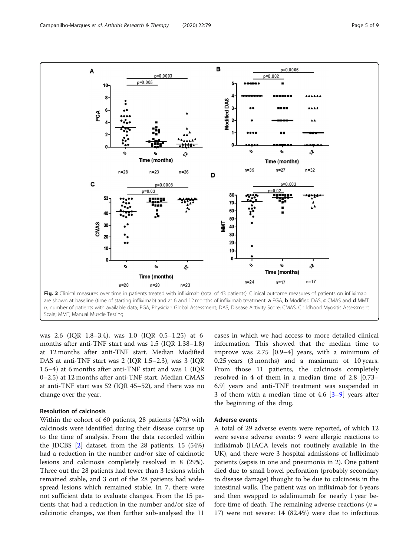<span id="page-4-0"></span>

Scale; MMT, Manual Muscle Testing

was 2.6 (IQR 1.8–3.4), was 1.0 (IQR 0.5–1.25) at 6 months after anti-TNF start and was 1.5 (IQR 1.38–1.8) at 12 months after anti-TNF start. Median Modified DAS at anti-TNF start was 2 (IQR 1.5–2.3), was 3 (IQR 1.5–4) at 6 months after anti-TNF start and was 1 (IQR 0–2.5) at 12 months after anti-TNF start. Median CMAS at anti-TNF start was 52 (IQR 45–52), and there was no change over the year.

### Resolution of calcinosis

Within the cohort of 60 patients, 28 patients (47%) with calcinosis were identified during their disease course up to the time of analysis. From the data recorded within the JDCBS [[2\]](#page-7-0) dataset, from the 28 patients, 15 (54%) had a reduction in the number and/or size of calcinotic lesions and calcinosis completely resolved in 8 (29%). Three out the 28 patients had fewer than 3 lesions which remained stable, and 3 out of the 28 patients had widespread lesions which remained stable. In 7, there were not sufficient data to evaluate changes. From the 15 patients that had a reduction in the number and/or size of calcinotic changes, we then further sub-analysed the 11

cases in which we had access to more detailed clinical information. This showed that the median time to improve was 2.75 [0.9–4] years, with a minimum of 0.25 years (3 months) and a maximum of 10 years. From those 11 patients, the calcinosis completely resolved in 4 of them in a median time of 2.8 [0.73– 6.9] years and anti-TNF treatment was suspended in 3 of them with a median time of 4.6  $[3-9]$  $[3-9]$  $[3-9]$  $[3-9]$  years after the beginning of the drug.

#### Adverse events

A total of 29 adverse events were reported, of which 12 were severe adverse events: 9 were allergic reactions to infliximab (HACA levels not routinely available in the UK), and there were 3 hospital admissions of Infliximab patients (sepsis in one and pneumonia in 2). One patient died due to small bowel perforation (probably secondary to disease damage) thought to be due to calcinosis in the intestinal walls. The patient was on infliximab for 6 years and then swapped to adalimumab for nearly 1 year before time of death. The remaining adverse reactions ( $n =$ 17) were not severe: 14 (82.4%) were due to infectious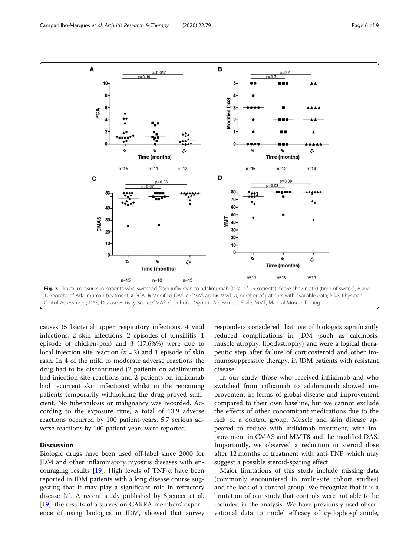<span id="page-5-0"></span>

causes (5 bacterial upper respiratory infections, 4 viral infections, 2 skin infections, 2 episodes of tonsillitis, 1 episode of chicken-pox) and 3 (17.6%%) were due to local injection site reaction  $(n = 2)$  and 1 episode of skin rash. In 4 of the mild to moderate adverse reactions the drug had to be discontinued (2 patients on adalimumab had injection site reactions and 2 patients on infliximab had recurrent skin infections) whilst in the remaining patients temporarily withholding the drug proved sufficient. No tuberculosis or malignancy was recorded. According to the exposure time, a total of 13.9 adverse reactions occurred by 100 patient-years. 5.7 serious adverse reactions by 100 patient-years were reported.

# **Discussion**

Biologic drugs have been used off-label since 2000 for JDM and other inflammatory myositis diseases with en-couraging results [[19\]](#page-8-0). High levels of TNF- $\alpha$  have been reported in JDM patients with a long disease course suggesting that it may play a significant role in refractory disease [[7\]](#page-7-0). A recent study published by Spencer et al. [[19\]](#page-8-0), the results of a survey on CARRA members' experience of using biologics in JDM, showed that survey

responders considered that use of biologics significantly reduced complications in JDM (such as calcinosis, muscle atrophy, lipodystrophy) and were a logical therapeutic step after failure of corticosteroid and other immunosuppressive therapy, in JDM patients with resistant disease.

In our study, those who received infliximab and who switched from infliximab to adalimumab showed improvement in terms of global disease and improvement compared to their own baseline, but we cannot exclude the effects of other concomitant medications due to the lack of a control group. Muscle and skin disease appeared to reduce with infliximab treatment, with improvement in CMAS and MMT8 and the modified DAS. Importantly, we observed a reduction in steroid dose after 12 months of treatment with anti-TNF, which may suggest a possible steroid-sparing effect.

Major limitations of this study include missing data (commonly encountered in multi-site cohort studies) and the lack of a control group. We recognize that it is a limitation of our study that controls were not able to be included in the analysis. We have previously used observational data to model efficacy of cyclophosphamide,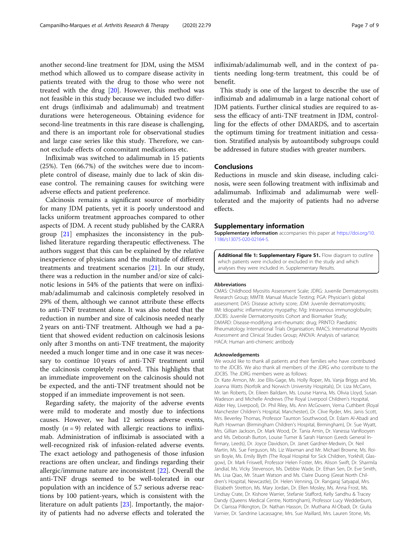<span id="page-6-0"></span>another second-line treatment for JDM, using the MSM method which allowed us to compare disease activity in patients treated with the drug to those who were not treated with the drug  $[20]$  $[20]$ . However, this method was not feasible in this study because we included two different drugs (infliximab and adalimumab) and treatment durations were heterogeneous. Obtaining evidence for second-line treatments in this rare disease is challenging, and there is an important role for observational studies and large case series like this study. Therefore, we cannot exclude effects of concomitant medications etc.

Infliximab was switched to adalimumab in 15 patients (25%). Ten (66.7%) of the switches were due to incomplete control of disease, mainly due to lack of skin disease control. The remaining causes for switching were adverse effects and patient preference.

Calcinosis remains a significant source of morbidity for many JDM patients, yet it is poorly understood and lacks uniform treatment approaches compared to other aspects of JDM. A recent study published by the CARRA group [[21](#page-8-0)] emphasizes the inconsistency in the published literature regarding therapeutic effectiveness. The authors suggest that this can be explained by the relative inexperience of physicians and the multitude of different treatments and treatment scenarios [[21\]](#page-8-0). In our study, there was a reduction in the number and/or size of calcinotic lesions in 54% of the patients that were on infliximab/adalimumab and calcinosis completely resolved in 29% of them, although we cannot attribute these effects to anti-TNF treatment alone. It was also noted that the reduction in number and size of calcinosis needed nearly 2 years on anti-TNF treatment. Although we had a patient that showed evident reduction on calcinosis lesions only after 3 months on anti-TNF treatment, the majority needed a much longer time and in one case it was necessary to continue 10 years of anti-TNF treatment until the calcinosis completely resolved. This highlights that an immediate improvement on the calcinosis should not be expected, and the anti-TNF treatment should not be stopped if an immediate improvement is not seen.

Regarding safety, the majority of the adverse events were mild to moderate and mostly due to infections causes. However, we had 12 serious adverse events, mostly  $(n = 9)$  related with allergic reactions to infliximab. Administration of infliximab is associated with a well-recognized risk of infusion-related adverse events. The exact aetiology and pathogenesis of those infusion reactions are often unclear, and findings regarding their allergic/immune nature are inconsistent [[22\]](#page-8-0). Overall the anti-TNF drugs seemed to be well-tolerated in our population with an incidence of 5.7 serious adverse reactions by 100 patient-years, which is consistent with the literature on adult patients [\[23\]](#page-8-0). Importantly, the majority of patients had no adverse effects and tolerated the

infliximab/adalimumab well, and in the context of patients needing long-term treatment, this could be of benefit.

This study is one of the largest to describe the use of infliximab and adalimumab in a large national cohort of JDM patients. Further clinical studies are required to assess the efficacy of anti-TNF treatment in JDM, controlling for the effects of other DMARDS, and to ascertain the optimum timing for treatment initiation and cessation. Stratified analysis by autoantibody subgroups could be addressed in future studies with greater numbers.

#### Conclusions

Reductions in muscle and skin disease, including calcinosis, were seen following treatment with infliximab and adalimumab. Infliximab and adalimumab were welltolerated and the majority of patients had no adverse effects.

#### Supplementary information

Supplementary information accompanies this paper at [https://doi.org/10.](https://doi.org/10.1186/s13075-020-02164-5) [1186/s13075-020-02164-5](https://doi.org/10.1186/s13075-020-02164-5).

Additional file 1: Supplementary Figure S1. Flow diagram to outline which patients were included or excluded in the study and which analyses they were included in. Supplementary Results.

#### Abbreviations

CMAS: Childhood Myositis Assessment Scale; JDRG: Juvenile Dermatomyositis Research Group; MMT8: Manual Muscle Testing; PGA: Physician's global assessment; DAS: Disease activity score; JDM: Juvenile dermatomyositis; IIM: Idiopathic inflammatory myopathy; IVIg: Intravenous immunoglobulin; JDCBS: Juvenile Dermatomyositis Cohort and Biomarker Study; DMARD: Disease-modifying anti-rheumatic drug; PRINTO: Paediatric Rheumatology International Trials Organisation; IMACS: International Myositis Assessment and Clinical Studies Group; ANOVA: Analysis of variance; HACA: Human anti-chimeric antibody

#### Acknowledgements

We would like to thank all patients and their families who have contributed to the JDCBS. We also thank all members of the JDRG who contribute to the JDCBS. The JDRG members were as follows:

Dr. Kate Armon, Mr. Joe Ellis-Gage, Ms. Holly Roper, Ms. Vanja Briggs and Ms. Joanna Watts (Norfolk and Norwich University Hospitals), Dr. Liza McCann, Mr. Ian Roberts, Dr. Eileen Baildam, Ms. Louise Hanna, Ms. Olivia Lloyd, Susan Wadeson and Michelle Andrews (The Royal Liverpool Children's Hospital, Alder Hey, Liverpool), Dr. Phil Riley, Ms. Ann McGovern, Verna Cuthbert (Royal Manchester Children's Hospital, Manchester), Dr. Clive Ryder, Mrs. Janis Scott, Mrs. Beverley Thomas, Professor Taunton Southwood, Dr. Eslam Al-Abadi and Ruth Howman (Birmingham Children's Hospital, Birmingham), Dr. Sue Wyatt, Mrs. Gillian Jackson, Dr. Mark Wood, Dr. Tania Amin, Dr. Vanessa VanRooyen and Ms. Deborah Burton, Louise Turner & Sarah Hanson (Leeds General Infirmary, Leeds), Dr. Joyce Davidson, Dr. Janet Gardner-Medwin, Dr. Neil Martin, Ms. Sue Ferguson, Ms. Liz Waxman and Mr. Michael Browne, Ms. Roisin Boyle, Ms. Emily Blyth (The Royal Hospital for Sick Children, Yorkhill, Glasgow), Dr. Mark Friswell, Professor Helen Foster, Mrs. Alison Swift, Dr. Sharmila Jandial, Ms. Vicky Stevenson, Ms. Debbie Wade, Dr. Ethan Sen, Dr. Eve Smith, Ms. Lisa Qiao, Mr. Stuart Watson and Ms. Claire Duong (Great North Children's Hospital, Newcastle), Dr. Helen Venning, Dr. Rangaraj Satyapal, Mrs. Elizabeth Stretton, Ms. Mary Jordan, Dr. Ellen Mosley, Ms. Anna Frost, Ms. Lindsay Crate, Dr. Kishore Warrier, Stefanie Stafford, Kelly Sandhu & Tracey Dandy (Queens Medical Centre, Nottingham), Professor Lucy Wedderburn, Dr. Clarissa Pilkington, Dr. Nathan Hasson, Dr. Muthana Al-Obadi, Dr. Giulia Varnier, Dr. Sandrine Lacassagne, Mrs. Sue Maillard, Mrs. Lauren Stone, Ms.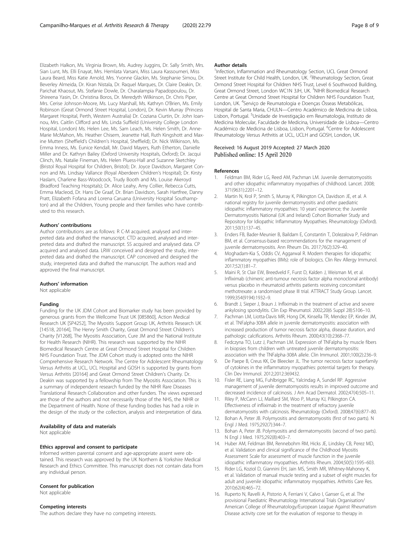<span id="page-7-0"></span>Elizabeth Halkon, Ms. Virginia Brown, Ms. Audrey Juggins, Dr. Sally Smith, Mrs. Sian Lunt, Ms. Elli Enayat, Mrs. Hemlata Varsani, Miss Laura Kassoumeri, Miss Laura Beard, Miss Katie Arnold, Mrs. Yvonne Glackin, Ms. Stephanie Simou, Dr. Beverley Almeida, Dr. Kiran Nistala, Dr. Raquel Marques, Dr. Claire Deakin, Dr. Parichat Khaosut, Ms. Stefanie Dowle, Dr. Charalampia Papadopoulou, Dr. Shireena Yasin, Dr. Christina Boros, Dr. Meredyth Wilkinson, Dr. Chris Piper, Mrs. Cerise Johnson-Moore, Ms. Lucy Marshall, Ms. Kathryn O'Brien, Ms. Emily Robinson (Great Ormond Street Hospital, London), Dr. Kevin Murray (Princess Margaret Hospital, Perth, Western Australia) Dr. Coziana Ciurtin, Dr. John Ioannou, Mrs. Caitlin Clifford and Ms. Linda Suffield (University College London Hospital, London) Ms. Helen Lee, Ms. Sam Leach, Ms. Helen Smith, Dr. Anne-Marie McMahon, Ms. Heather Chisem, Jeanette Hall, Ruth Kingshott and Maxine Mutten (Sheffield's Children's Hospital, Sheffield); Dr. Nick Wilkinson, Ms. Emma Inness, Ms. Eunice Kendall, Mr. David Mayers, Ruth Etherton, Danielle Miller and Dr. Kathryn Bailey (Oxford University Hospitals, Oxford); Dr. Jacqui Clinch, Ms. Natalie Fineman, Ms. Helen Pluess-Hall and Suzanne Sketchley (Bristol Royal Hospital for Children, Bristol); Dr. Joyce Davidson, Margaret Connon and Ms. Lindsay Vallance (Royal Aberdeen Children's Hospital); Dr. Kirsty Haslam, Charlene Bass-Woodcock, Trudy Booth and Ms. Louise Akeroyd (Bradford Teaching Hospitals); Dr. Alice Leahy, Amy Collier, Rebecca Cutts, Emma Macleod, Dr. Hans De Graaf, Dr. Brian Davidson, Sarah Hartfree, Danny Pratt, Elizabeth Fofana and Lorena Caruana (University Hospital Southampton) and all the Children, Young people and their families who have contributed to this research.

#### Authors' contributions

Author contributions are as follows: R C-M acquired, analysed and interpreted data and drafted the manuscript. CTD acquired, analysed and interpreted data and drafted the manuscript. SS acquired and analysed data. CP acquired and analysed data. LRW conceived and designed the study, interpreted data and drafted the manuscript. CAP conceived and designed the study, interpreted data and drafted the manuscript. The authors read and approved the final manuscript.

### Authors' information

Not applicable

#### Funding

Funding for the UK JDM Cohort and Biomarker study has been provided by generous grants from the Wellcome Trust UK [085860], Action Medical Research UK [SP4252], The Myositis Support Group UK, Arthritis Research UK [14518, 20164], The Henry Smith Charity, Great Ormond Street Children's Charity [V1268], The Myositis Association, Cure JM and the National Institute for Health Research (NIHR). This research was supported by the NIHR Biomedical Research Centre at Great Ormond Street Hospital for Children NHS Foundation Trust. The JDM Cohort study is adopted onto the NIHR Comprehensive Research Network. The Centre for Adolescent Rheumatology Versus Arthritis at UCL, UCL Hospital and GOSH is supported by grants from Versus Arthritis [20164] and Great Ormond Street Children's Charity. Dr. Deakin was supported by a fellowship from The Myositis Association. This is a summary of independent research funded by the NIHR Rare Diseases Translational Research Collaboration and other funders. The views expressed are those of the authors and not necessarily those of the NHS, the NIHR or the Department of Health. None of these funding bodies has had a role in the design of the study or the collection, analysis and interpretation of data.

#### Availability of data and materials

Not applicable

#### Ethics approval and consent to participate

Informed written parental consent and age-appropriate assent were obtained. This research was approved by the UK Northern & Yorkshire Medical Research and Ethics Committee. This manuscript does not contain data from any individual person.

#### Consent for publication

Not applicable

#### Competing interests

The authors declare they have no competing interests.

#### Author details

<sup>1</sup>Infection, Inflammation and Rheumatology Section, UCL Great Ormond Street Institute for Child Health, London, UK. <sup>2</sup>Rheumatology Section, Great Ormond Street Hospital for Children NHS Trust, Level 6 Southwood Building, Great Ormond Street, London WC1N 3JH, UK. <sup>3</sup>NIHR Biomedical Research Centre at Great Ormond Street Hospital for Children NHS Foundation Trust, London, UK. <sup>4</sup>Serviço de Reumatologia e Doenças Ósseas Metabólicas Hospital de Santa Maria, CHULN—Centro Académico de Medicina de Lisboa, Lisbon, Portugal. <sup>5</sup>Unidade de Investigação em Reumatologia, Instituto de Medicina Molecular, Faculdade de Medicina, Universidade de Lisboa—Centro Académico de Medicina de Lisboa, Lisbon, Portugal. <sup>6</sup>Centre for Adolescent Rheumatology Versus Arthritis at UCL, UCLH and GOSH, London, UK.

#### Received: 16 August 2019 Accepted: 27 March 2020 Published online: 15 April 2020

#### References

- 1. Feldman BM, Rider LG, Reed AM, Pachman LM. Juvenile dermatomyositis and other idiopathic inflammatory myopathies of childhood. Lancet. 2008; 371(9631):2201–12.
- 2. Martin N, Krol P, Smith S, Murray K, Pilkington CA, Davidson JE, et al. A national registry for juvenile dermatomyositis and other paediatric idiopathic inflammatory myopathies: 10 years' experience; the Juvenile Dermatomyositis National (UK and Ireland) Cohort Biomarker Study and Repository for Idiopathic Inflammatory Myopathies. Rheumatology (Oxford). 2011;50(1):137–45.
- 3. Enders FB, Bader-Meunier B, Baildam E, Constantin T, Dolezalova P, Feldman BM, et al. Consensus-based recommendations for the management of juvenile dermatomyositis. Ann Rheum Dis. 2017;76(2):329–40.
- 4. Moghadam-Kia S, Oddis CV, Aggarwal R. Modern therapies for idiopathic inflammatory myopathies (IIMs): role of biologics. Clin Rev Allergy Immunol. 2017;52(1):81–7.
- 5. Maini R, St Clair EW, Breedveld F, Furst D, Kalden J, Weisman M, et al. Infliximab (chimeric anti-tumour necrosis factor alpha monoclonal antibody) versus placebo in rheumatoid arthritis patients receiving concomitant methotrexate: a randomised phase III trial. ATTRACT Study Group. Lancet. 1999;354(9194):1932–9.
- 6. Brandt J, Sieper J, Braun J. Infliximab in the treatment of active and severe ankylosing spondylitis. Clin Exp Rheumatol. 2002;20(6 Suppl 28):S106–10.
- 7. Pachman LM, Liotta-Davis MR, Hong DK, Kinsella TR, Mendez EP, Kinder JM, et al. TNFalpha-308A allele in juvenile dermatomyositis: association with increased production of tumor necrosis factor alpha, disease duration, and pathologic calcifications. Arthritis Rheum. 2000;43(10):2368–77.
- 8. Fedczyna TO, Lutz J, Pachman LM. Expression of TNFalpha by muscle fibers in biopsies from children with untreated juvenile dermatomyositis: association with the TNFalpha-308A allele. Clin Immunol. 2001;100(2):236–9.
- 9. De Paepe B, Creus KK, De Bleecker JL. The tumor necrosis factor superfamily of cytokines in the inflammatory myopathies: potential targets for therapy. Clin Dev Immunol. 2012;2012:369432.
- 10. Fisler RE, Liang MG, Fuhlbrigge RC, Yalcindag A, Sundel RP. Aggressive management of juvenile dermatomyositis results in improved outcome and decreased incidence of calcinosis. J Am Acad Dermatol. 2002;47(4):505–11.
- 11. Riley P, McCann LJ, Maillard SM, Woo P, Murray KJ, Pilkington CA. Effectiveness of infliximab in the treatment of refractory juvenile dermatomyositis with calcinosis. Rheumatology (Oxford). 2008;47(6):877–80.
- 12. Bohan A, Peter JB. Polymyositis and dermatomyositis (first of two parts). N Engl J Med. 1975;292(7):344–7.
- 13. Bohan A, Peter JB. Polymyositis and dermatomyositis (second of two parts). N Engl J Med. 1975;292(8):403–7.
- 14. Huber AM, Feldman BM, Rennebohm RM, Hicks JE, Lindsley CB, Perez MD, et al. Validation and clinical significance of the Childhood Myositis Assessment Scale for assessment of muscle function in the juvenile idiopathic inflammatory myopathies. Arthritis Rheum. 2004;50(5):1595–603.
- 15. Rider LG, Koziol D, Giannini EH, Jain MS, Smith MR, Whitney-Mahoney K, et al. Validation of manual muscle testing and a subset of eight muscles for adult and juvenile idiopathic inflammatory myopathies. Arthritis Care Res. 2010;62(4):465–72.
- 16. Ruperto N, Ravelli A, Pistorio A, Ferriani V, Calvo I, Ganser G, et al. The provisional Paediatric Rheumatology International Trials Organisation/ American College of Rheumatology/European League Against Rheumatism Disease activity core set for the evaluation of response to therapy in